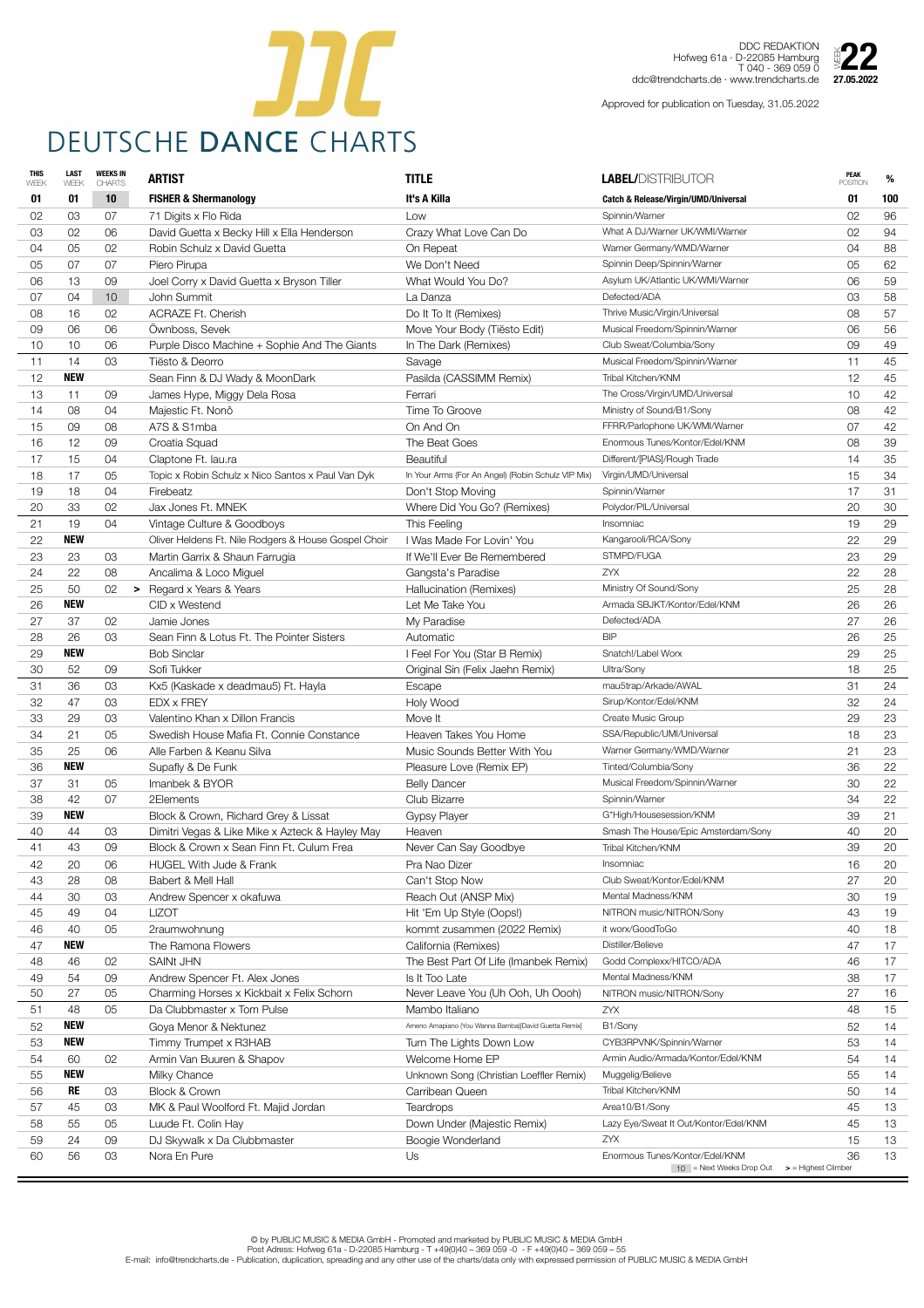

DDC REDAKTION Hofweg 61a · D-22085 Hamburg T 040 - 369 059 0 Hofweg 61a · D-DDC REDARTION<br>T 040 - 369 059 0<br>ddc@trendcharts.de · www.trendcharts.de **27.05.2022** 

| <b>THIS</b><br>WEEK | <b>LAST</b><br>WEEK | <b>WEEKS IN</b><br><b>CHARTS</b> | <b>ARTIST</b>                                                                               | <b>TITLE</b>                                         | <b>LABEL/DISTRIBUTOR</b>                        | <b>PEAK</b><br><b>POSITION</b>     | %               |
|---------------------|---------------------|----------------------------------|---------------------------------------------------------------------------------------------|------------------------------------------------------|-------------------------------------------------|------------------------------------|-----------------|
| 01                  | 01                  | 10                               | <b>FISHER &amp; Shermanology</b>                                                            | It's A Killa                                         | <b>Catch &amp; Release/Virgin/UMD/Universal</b> | 01                                 | 100             |
| 02                  | 03                  | 07                               | 71 Digits x Flo Rida                                                                        | Low                                                  | Spinnin/Warner                                  | 02                                 | 96              |
| 03                  | 02                  | 06                               | David Guetta x Becky Hill x Ella Henderson                                                  | Crazy What Love Can Do                               | What A DJ/Warner UK/WMI/Warner                  | 02                                 | 94              |
| 04                  | 05                  | 02                               | Robin Schulz x David Guetta                                                                 | On Repeat                                            | Warner Germany/WMD/Warner                       | 04                                 | 88              |
| 05                  | 07                  | 07                               | Piero Pirupa                                                                                | We Don't Need                                        | Spinnin Deep/Spinnin/Warner                     | 05                                 | 62              |
| 06                  | 13                  | 09                               | Joel Corry x David Guetta x Bryson Tiller                                                   | What Would You Do?                                   | Asylum UK/Atlantic UK/WMI/Warner                | 06                                 | 59              |
| 07                  | 04                  | 10 <sup>°</sup>                  | John Summit                                                                                 | La Danza                                             | Defected/ADA                                    | 03                                 | 58              |
| 08                  | 16                  | 02                               | <b>ACRAZE Ft. Cherish</b>                                                                   | Do It To It (Remixes)                                | Thrive Music/Virgin/Universal                   | 08                                 | 57              |
| 09                  | 06                  | 06                               | Öwnboss, Sevek                                                                              | Move Your Body (Tiësto Edit)                         | Musical Freedom/Spinnin/Warner                  | 06                                 | 56              |
| 10                  | 10                  | 06                               | Purple Disco Machine + Sophie And The Giants                                                | In The Dark (Remixes)                                | Club Sweat/Columbia/Sony                        | 09                                 | 49              |
| 11                  | 14                  | 03                               | Tiësto & Deorro                                                                             | Savage                                               | Musical Freedom/Spinnin/Warner                  | 11                                 | 45              |
| 12                  | <b>NEW</b>          |                                  | Sean Finn & DJ Wady & MoonDark                                                              | Pasilda (CASSIMM Remix)                              | Tribal Kitchen/KNM                              | 12                                 | 45              |
| 13                  | 11                  | 09                               | James Hype, Miggy Dela Rosa                                                                 | Ferrari                                              | The Cross/Virgin/UMD/Universal                  | 10                                 | 42              |
| 14                  | 08                  | 04                               | Majestic Ft. Nonô                                                                           | Time To Groove                                       | Ministry of Sound/B1/Sony                       | 08                                 | 42              |
| 15                  | 09                  | 08                               | A7S & S1mba                                                                                 | On And On                                            | FFRR/Parlophone UK/WMI/Warner                   | 07                                 | 42              |
| 16                  | 12                  | 09                               | Croatia Squad                                                                               | The Beat Goes                                        | Enormous Tunes/Kontor/Edel/KNM                  | 08                                 | 39              |
| 17                  | 15                  | 04                               | Claptone Ft. lau.ra                                                                         | <b>Beautiful</b>                                     | Different/[PIAS]/Rough Trade                    | 14                                 | 35              |
| 18                  | 17                  | 05                               | Topic x Robin Schulz x Nico Santos x Paul Van Dyk                                           | In Your Arms (For An Angel) (Robin Schulz VIP Mix)   | Virgin/UMD/Universal                            | 15                                 | 34              |
| 19                  | 18                  | 04                               | Firebeatz                                                                                   | Don't Stop Moving                                    | Spinnin/Warner                                  | 17                                 | 31              |
| 20                  | 33                  | 02                               | Jax Jones Ft. MNEK                                                                          | Where Did You Go? (Remixes)                          | Polydor/PIL/Universal                           | 20                                 | 30              |
| 21                  | 19                  | 04                               | Vintage Culture & Goodboys                                                                  | This Feeling                                         | Insomniac                                       | 19                                 | 29              |
| 22                  | <b>NEW</b>          |                                  | Oliver Heldens Ft. Nile Rodgers & House Gospel Choir                                        | I Was Made For Lovin' You                            | Kangarooli/RCA/Sony                             | 22                                 | 29              |
| 23                  | 23                  | 03                               | Martin Garrix & Shaun Farrugia                                                              | If We'll Ever Be Remembered                          | STMPD/FUGA                                      | 23                                 | 29              |
| 24                  | 22                  | 08                               | Ancalima & Loco Miguel                                                                      | Gangsta's Paradise                                   | <b>ZYX</b>                                      | 22                                 | 28              |
| 25                  | 50                  | 02                               | > Regard x Years & Years                                                                    | Hallucination (Remixes)                              | Ministry Of Sound/Sony                          | 25                                 | 28              |
| 26                  | <b>NEW</b>          |                                  | CID x Westend                                                                               | Let Me Take You                                      | Armada SBJKT/Kontor/Edel/KNM                    | 26                                 | 26              |
| 27                  | 37                  | 02                               | Jamie Jones                                                                                 | My Paradise                                          | Defected/ADA                                    | 27                                 | 26              |
| 28                  | 26                  | 03                               | Sean Finn & Lotus Ft. The Pointer Sisters                                                   | Automatic                                            | <b>BIP</b>                                      | 26                                 | 25              |
| 29                  | <b>NEW</b>          |                                  | <b>Bob Sinclar</b>                                                                          | I Feel For You (Star B Remix)                        | Snatch!/Label Worx                              | 29                                 | 25              |
| 30                  | 52                  | 09                               | Sofi Tukker                                                                                 | Original Sin (Felix Jaehn Remix)                     | Ultra/Sony                                      | 18                                 | 25              |
| 31                  | 36                  | 03                               | Kx5 (Kaskade x deadmau5) Ft. Hayla                                                          | Escape                                               | mau5trap/Arkade/AWAL                            | 31                                 | 24              |
| 32                  | 47                  | 03                               | <b>EDX x FREY</b>                                                                           | Holy Wood                                            | Sirup/Kontor/Edel/KNM                           | 32                                 | 24              |
| 33                  | 29                  | 03                               | Valentino Khan x Dillon Francis                                                             | Move It                                              | Create Music Group                              | 29                                 | 23              |
| 34                  | 21                  | 05                               | Swedish House Mafia Ft. Connie Constance                                                    | Heaven Takes You Home                                | SSA/Republic/UMI/Universal                      | 18                                 | 23              |
| 35                  | 25                  | 06                               | Alle Farben & Keanu Silva                                                                   | Music Sounds Better With You                         | Warner Germany/WMD/Warner                       | 21                                 | 23              |
| 36                  | <b>NEW</b>          |                                  | Supafly & De Funk                                                                           | Pleasure Love (Remix EP)                             | Tinted/Columbia/Sony                            | 36                                 | 22              |
| 37                  | 31                  | 05                               | Imanbek & BYOR                                                                              | <b>Belly Dancer</b>                                  | Musical Freedom/Spinnin/Warner                  | 30                                 | 22              |
| 38                  | 42                  | 07                               | 2Elements                                                                                   | Club Bizarre                                         | Spinnin/Warner                                  | 34                                 | 22              |
| 39                  | <b>NEW</b>          |                                  | Block & Crown, Richard Grey & Lissat                                                        | <b>Gypsy Player</b>                                  | G*High/Housesession/KNM                         | 39                                 | 21              |
| 40                  | 44<br>43            | 03<br>09                         | Dimitri Vegas & Like Mike x Azteck & Hayley May<br>Block & Crown x Sean Finn Ft. Culum Frea | Heaven                                               | Smash The House/Epic Amsterdam/Sony             | 40<br>39                           | 20<br>20        |
| 41                  |                     |                                  |                                                                                             | Never Can Say Goodbye                                | Tribal Kitchen/KNM<br>Insomniac                 |                                    |                 |
| 42<br>43            | 20                  | 06                               | <b>HUGEL With Jude &amp; Frank</b><br>Babert & Mell Hall                                    | Pra Nao Dizer                                        | Club Sweat/Kontor/Edel/KNM                      | 16<br>27                           | 20<br>20        |
| 44                  | 28<br>30            | 08<br>03                         |                                                                                             | Can't Stop Now<br>Reach Out (ANSP Mix)               | Mental Madness/KNM                              | 30                                 | 19              |
| 45                  | 49                  | 04                               | Andrew Spencer x okafuwa<br><b>LIZOT</b>                                                    | Hit 'Em Up Style (Oops!)                             | NITRON music/NITRON/Sony                        | 43                                 | 19              |
| 46                  | 40                  | 05                               | 2raumwohnung                                                                                | kommt zusammen (2022 Remix)                          | it worx/GoodToGo                                | 40                                 | 18              |
| 47                  | <b>NEW</b>          |                                  | The Ramona Flowers                                                                          | California (Remixes)                                 | Distiller/Believe                               | 47                                 | 17              |
| 48                  | 46                  | 02                               | <b>SAINt JHN</b>                                                                            | The Best Part Of Life (Imanbek Remix)                | Godd Complexx/HITCO/ADA                         | 46                                 | 17              |
| 49                  | 54                  | 09                               | Andrew Spencer Ft. Alex Jones                                                               | Is It Too Late                                       | Mental Madness/KNM                              | 38                                 | 17              |
| 50                  | 27                  | 05                               | Charming Horses x Kickbait x Felix Schorn                                                   | Never Leave You (Uh Ooh, Uh Oooh)                    | NITRON music/NITRON/Sony                        | 27                                 | 16              |
| 51                  | 48                  | 05                               | Da Clubbmaster x Tom Pulse                                                                  | Mambo Italiano                                       | ZYX                                             | 48                                 | 15              |
| 52                  | <b>NEW</b>          |                                  | Goya Menor & Nektunez                                                                       | Ameno Amapiano (You Wanna Bamba)[David Guetta Remix] | B1/Sony                                         | 52                                 | 14              |
| 53                  | <b>NEW</b>          |                                  | Timmy Trumpet x R3HAB                                                                       | Turn The Lights Down Low                             | CYB3RPVNK/Spinnin/Warner                        | 53                                 | 14              |
| 54                  | 60                  | 02                               | Armin Van Buuren & Shapov                                                                   | Welcome Home EP                                      | Armin Audio/Armada/Kontor/Edel/KNM              | 54                                 | 14              |
| 55                  | <b>NEW</b>          |                                  | Milky Chance                                                                                | Unknown Song (Christian Loeffler Remix)              | Muggelig/Believe                                | 55                                 | 14              |
| 56                  | <b>RE</b>           | 03                               | <b>Block &amp; Crown</b>                                                                    | Carribean Queen                                      | Tribal Kitchen/KNM                              | 50                                 | 14              |
| 57                  | 45                  | 03                               | MK & Paul Woolford Ft. Majid Jordan                                                         | <b>Teardrops</b>                                     | Area10/B1/Sony                                  | 45                                 | 13              |
| 58                  | 55                  | 05                               | Luude Ft. Colin Hay                                                                         | Down Under (Majestic Remix)                          | Lazy Eye/Sweat It Out/Kontor/Edel/KNM           | 45                                 | 13              |
| 59                  | 24                  | 09                               | DJ Skywalk x Da Clubbmaster                                                                 | Boogie Wonderland                                    | ZYX                                             | 15                                 | 13 <sup>°</sup> |
| 60                  | 56                  | 03                               | Nora En Pure                                                                                | Us                                                   | Enormous Tunes/Kontor/Edel/KNM                  | 36                                 | 13              |
|                     |                     |                                  |                                                                                             |                                                      | $10$ = Next Weeks Drop Out                      | $\triangleright$ = Highest Climber |                 |

Approved for publication on Tuesday, 31.05.2022